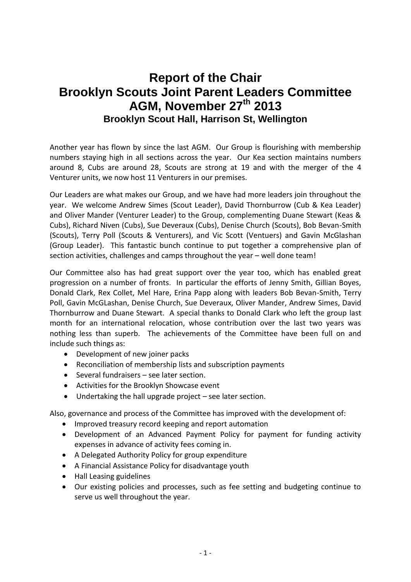## **Report of the Chair Brooklyn Scouts Joint Parent Leaders Committee AGM, November 27th 2013 Brooklyn Scout Hall, Harrison St, Wellington**

Another year has flown by since the last AGM. Our Group is flourishing with membership numbers staying high in all sections across the year. Our Kea section maintains numbers around 8, Cubs are around 28, Scouts are strong at 19 and with the merger of the 4 Venturer units, we now host 11 Venturers in our premises.

Our Leaders are what makes our Group, and we have had more leaders join throughout the year. We welcome Andrew Simes (Scout Leader), David Thornburrow (Cub & Kea Leader) and Oliver Mander (Venturer Leader) to the Group, complementing Duane Stewart (Keas & Cubs), Richard Niven (Cubs), Sue Deveraux (Cubs), Denise Church (Scouts), Bob Bevan-Smith (Scouts), Terry Poll (Scouts & Venturers), and Vic Scott (Ventuers) and Gavin McGlashan (Group Leader). This fantastic bunch continue to put together a comprehensive plan of section activities, challenges and camps throughout the year – well done team!

Our Committee also has had great support over the year too, which has enabled great progression on a number of fronts. In particular the efforts of Jenny Smith, Gillian Boyes, Donald Clark, Rex Collet, Mel Hare, Erina Papp along with leaders Bob Bevan-Smith, Terry Poll, Gavin McGLashan, Denise Church, Sue Deveraux, Oliver Mander, Andrew Simes, David Thornburrow and Duane Stewart. A special thanks to Donald Clark who left the group last month for an international relocation, whose contribution over the last two years was nothing less than superb. The achievements of the Committee have been full on and include such things as:

- Development of new joiner packs
- Reconciliation of membership lists and subscription payments
- Several fundraisers see later section.
- Activities for the Brooklyn Showcase event
- Undertaking the hall upgrade project see later section.

Also, governance and process of the Committee has improved with the development of:

- Improved treasury record keeping and report automation
- Development of an Advanced Payment Policy for payment for funding activity expenses in advance of activity fees coming in.
- A Delegated Authority Policy for group expenditure
- A Financial Assistance Policy for disadvantage youth
- Hall Leasing guidelines
- Our existing policies and processes, such as fee setting and budgeting continue to serve us well throughout the year.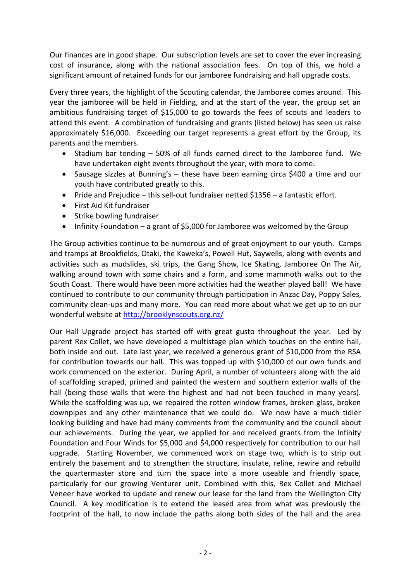Our finances are in good shape. Our subscription levels are set to cover the ever increasing cost of insurance, along with the national association fees. On top of this, we hold a significant amount of retained funds for our jamboree fundraising and hall upgrade costs.

Every three years, the highlight of the Scouting calendar, the Jamboree comes around. This year the jamboree will be held in Fielding, and at the start of the year, the group set an ambitious fundraising target of \$15,000 to go towards the fees of scouts and leaders to attend this event. A combination of fundraising and grants (listed below) has seen us raise approximately \$16,000. Exceeding our target represents a great effort by the Group, its parents and the members.

- Stadium bar tending 50% of all funds earned direct to the Jamboree fund. We have undertaken eight events throughout the year, with more to come.
- Sausage sizzles at Bunning's these have been earning circa \$400 a time and our youth have contributed greatly to this.
- Pride and Prejudice this sell-out fundraiser netted \$1356 a fantastic effort.
- First Aid Kit fundraiser
- Strike bowling fundraiser
- Infinity Foundation a grant of \$5,000 for Jamboree was welcomed by the Group

The Group activities continue to be numerous and of great enjoyment to our youth. Camps and tramps at Brookfields, Otaki, the Kaweka's, Powell Hut, Saywells, along with events and activities such as mudslides, ski trips, the Gang Show, Ice Skating, Jamboree On The Air, walking around town with some chairs and a form, and some mammoth walks out to the South Coast. There would have been more activities had the weather played ball! We have continued to contribute to our community through participation in Anzac Day, Poppy Sales, community clean-ups and many more. You can read more about what we get up to on our wonderful website at<http://brooklynscouts.org.nz/>

Our Hall Upgrade project has started off with great gusto throughout the year. Led by parent Rex Collet, we have developed a multistage plan which touches on the entire hall, both inside and out. Late last year, we received a generous grant of \$10,000 from the RSA for contribution towards our hall. This was topped up with \$10,000 of our own funds and work commenced on the exterior. During April, a number of volunteers along with the aid of scaffolding scraped, primed and painted the western and southern exterior walls of the hall (being those walls that were the highest and had not been touched in many years). While the scaffolding was up, we repaired the rotten window frames, broken glass, broken downpipes and any other maintenance that we could do. We now have a much tidier looking building and have had many comments from the community and the council about our achievements. During the year, we applied for and received grants from the Infinity Foundation and Four Winds for \$5,000 and \$4,000 respectively for contribution to our hall upgrade. Starting November, we commenced work on stage two, which is to strip out entirely the basement and to strengthen the structure, insulate, reline, rewire and rebuild the quartermaster store and turn the space into a more useable and friendly space, particularly for our growing Venturer unit. Combined with this, Rex Collet and Michael Veneer have worked to update and renew our lease for the land from the Wellington City Council. A key modification is to extend the leased area from what was previously the footprint of the hall, to now include the paths along both sides of the hall and the area